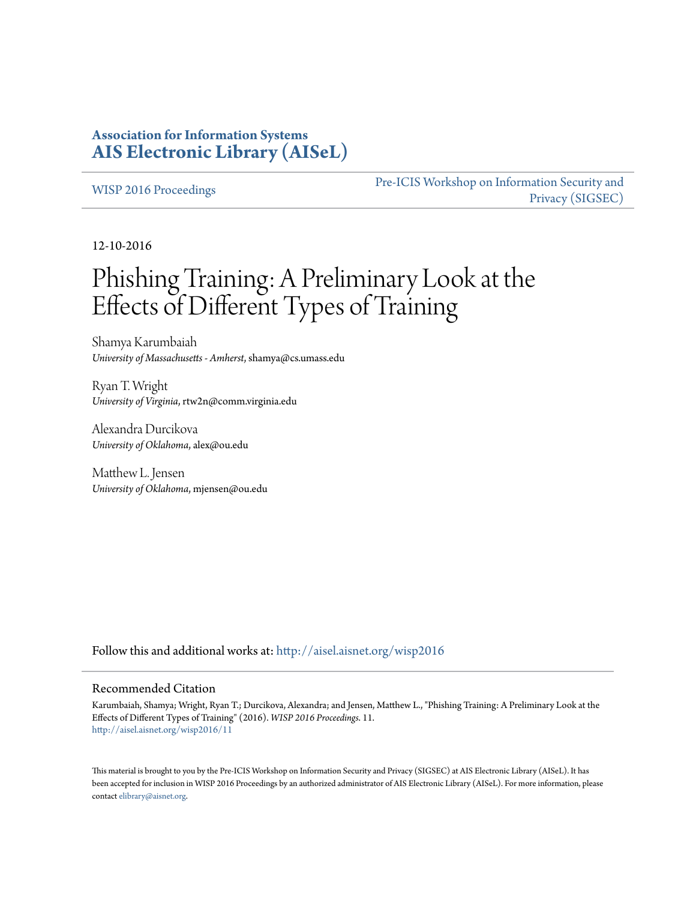# **Association for Information Systems [AIS Electronic Library \(AISeL\)](http://aisel.aisnet.org?utm_source=aisel.aisnet.org%2Fwisp2016%2F11&utm_medium=PDF&utm_campaign=PDFCoverPages)**

#### [WISP 2016 Proceedings](http://aisel.aisnet.org/wisp2016?utm_source=aisel.aisnet.org%2Fwisp2016%2F11&utm_medium=PDF&utm_campaign=PDFCoverPages)

[Pre-ICIS Workshop on Information Security and](http://aisel.aisnet.org/sigsec?utm_source=aisel.aisnet.org%2Fwisp2016%2F11&utm_medium=PDF&utm_campaign=PDFCoverPages) [Privacy \(SIGSEC\)](http://aisel.aisnet.org/sigsec?utm_source=aisel.aisnet.org%2Fwisp2016%2F11&utm_medium=PDF&utm_campaign=PDFCoverPages)

12-10-2016

# Phishing Training: A Preliminary Look at the Effects of Different Types of Training

Shamya Karumbaiah *University of Massachusetts - Amherst*, shamya@cs.umass.edu

Ryan T. Wright *University of Virginia*, rtw2n@comm.virginia.edu

Alexandra Durcikova *University of Oklahoma*, alex@ou.edu

Matthew L. Jensen *University of Oklahoma*, mjensen@ou.edu

Follow this and additional works at: [http://aisel.aisnet.org/wisp2016](http://aisel.aisnet.org/wisp2016?utm_source=aisel.aisnet.org%2Fwisp2016%2F11&utm_medium=PDF&utm_campaign=PDFCoverPages)

#### Recommended Citation

Karumbaiah, Shamya; Wright, Ryan T.; Durcikova, Alexandra; and Jensen, Matthew L., "Phishing Training: A Preliminary Look at the Effects of Different Types of Training" (2016). *WISP 2016 Proceedings*. 11. [http://aisel.aisnet.org/wisp2016/11](http://aisel.aisnet.org/wisp2016/11?utm_source=aisel.aisnet.org%2Fwisp2016%2F11&utm_medium=PDF&utm_campaign=PDFCoverPages)

This material is brought to you by the Pre-ICIS Workshop on Information Security and Privacy (SIGSEC) at AIS Electronic Library (AISeL). It has been accepted for inclusion in WISP 2016 Proceedings by an authorized administrator of AIS Electronic Library (AISeL). For more information, please contact [elibrary@aisnet.org.](mailto:elibrary@aisnet.org%3E)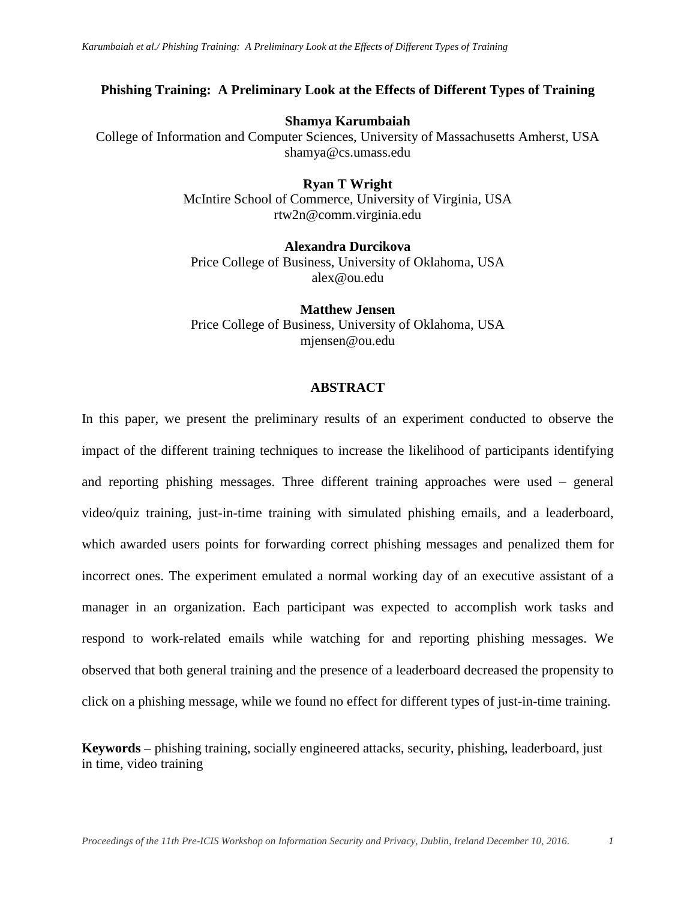# **Phishing Training: A Preliminary Look at the Effects of Different Types of Training**

#### **Shamya Karumbaiah**

College of Information and Computer Sciences, University of Massachusetts Amherst, USA shamya@cs.umass.edu

> **Ryan T Wright** McIntire School of Commerce, University of Virginia, USA rtw2n@comm.virginia.edu

**Alexandra Durcikova** Price College of Business, University of Oklahoma, USA alex@ou.edu

**Matthew Jensen** Price College of Business, University of Oklahoma, USA mjensen@ou.edu

#### **ABSTRACT**

In this paper, we present the preliminary results of an experiment conducted to observe the impact of the different training techniques to increase the likelihood of participants identifying and reporting phishing messages. Three different training approaches were used – general video/quiz training, just-in-time training with simulated phishing emails, and a leaderboard, which awarded users points for forwarding correct phishing messages and penalized them for incorrect ones. The experiment emulated a normal working day of an executive assistant of a manager in an organization. Each participant was expected to accomplish work tasks and respond to work-related emails while watching for and reporting phishing messages. We observed that both general training and the presence of a leaderboard decreased the propensity to click on a phishing message, while we found no effect for different types of just-in-time training.

**Keywords –** phishing training, socially engineered attacks, security, phishing, leaderboard, just in time, video training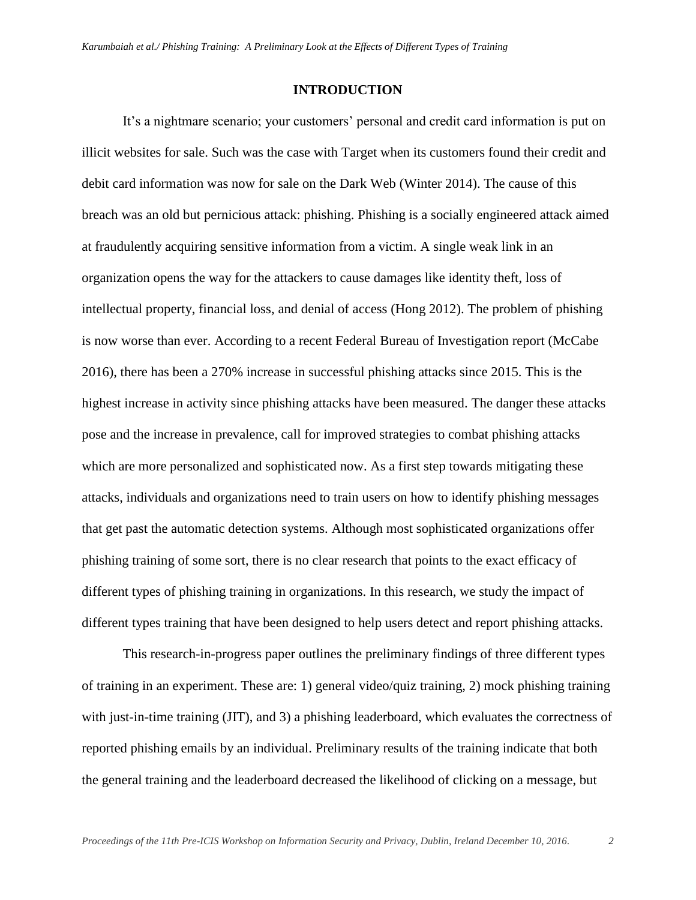#### **INTRODUCTION**

It's a nightmare scenario; your customers' personal and credit card information is put on illicit websites for sale. Such was the case with Target when its customers found their credit and debit card information was now for sale on the Dark Web (Winter 2014). The cause of this breach was an old but pernicious attack: phishing. Phishing is a socially engineered attack aimed at fraudulently acquiring sensitive information from a victim. A single weak link in an organization opens the way for the attackers to cause damages like identity theft, loss of intellectual property, financial loss, and denial of access (Hong 2012). The problem of phishing is now worse than ever. According to a recent Federal Bureau of Investigation report (McCabe 2016), there has been a 270% increase in successful phishing attacks since 2015. This is the highest increase in activity since phishing attacks have been measured. The danger these attacks pose and the increase in prevalence, call for improved strategies to combat phishing attacks which are more personalized and sophisticated now. As a first step towards mitigating these attacks, individuals and organizations need to train users on how to identify phishing messages that get past the automatic detection systems. Although most sophisticated organizations offer phishing training of some sort, there is no clear research that points to the exact efficacy of different types of phishing training in organizations. In this research, we study the impact of different types training that have been designed to help users detect and report phishing attacks.

This research-in-progress paper outlines the preliminary findings of three different types of training in an experiment. These are: 1) general video/quiz training, 2) mock phishing training with just-in-time training (JIT), and 3) a phishing leaderboard, which evaluates the correctness of reported phishing emails by an individual. Preliminary results of the training indicate that both the general training and the leaderboard decreased the likelihood of clicking on a message, but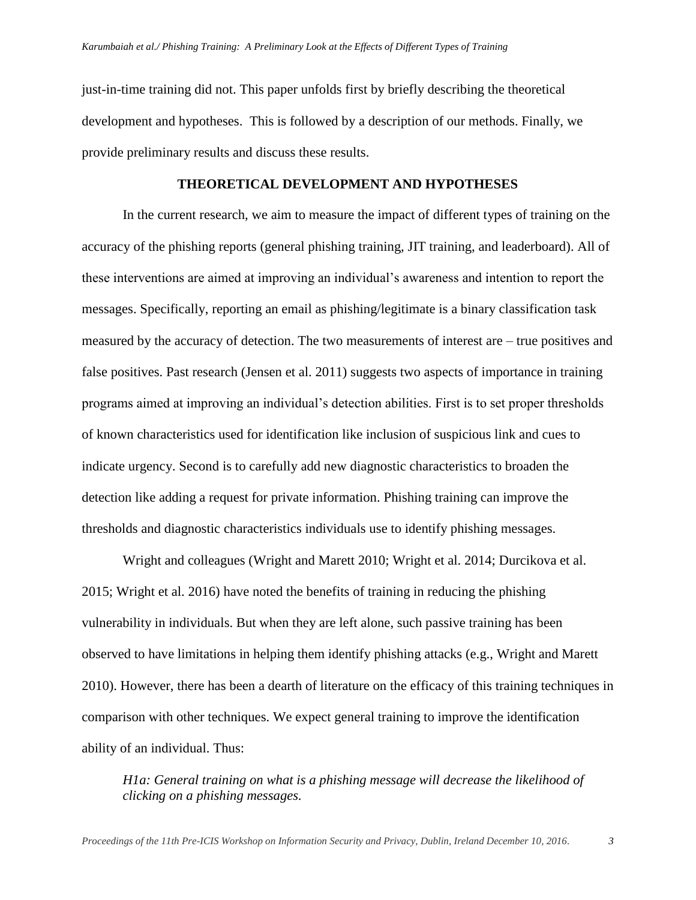just-in-time training did not. This paper unfolds first by briefly describing the theoretical development and hypotheses. This is followed by a description of our methods. Finally, we provide preliminary results and discuss these results.

#### **THEORETICAL DEVELOPMENT AND HYPOTHESES**

In the current research, we aim to measure the impact of different types of training on the accuracy of the phishing reports (general phishing training, JIT training, and leaderboard). All of these interventions are aimed at improving an individual's awareness and intention to report the messages. Specifically, reporting an email as phishing/legitimate is a binary classification task measured by the accuracy of detection. The two measurements of interest are – true positives and false positives. Past research (Jensen et al. 2011) suggests two aspects of importance in training programs aimed at improving an individual's detection abilities. First is to set proper thresholds of known characteristics used for identification like inclusion of suspicious link and cues to indicate urgency. Second is to carefully add new diagnostic characteristics to broaden the detection like adding a request for private information. Phishing training can improve the thresholds and diagnostic characteristics individuals use to identify phishing messages.

Wright and colleagues (Wright and Marett 2010; Wright et al. 2014; Durcikova et al. 2015; Wright et al. 2016) have noted the benefits of training in reducing the phishing vulnerability in individuals. But when they are left alone, such passive training has been observed to have limitations in helping them identify phishing attacks (e.g., Wright and Marett 2010). However, there has been a dearth of literature on the efficacy of this training techniques in comparison with other techniques. We expect general training to improve the identification ability of an individual. Thus:

*H1a: General training on what is a phishing message will decrease the likelihood of clicking on a phishing messages.*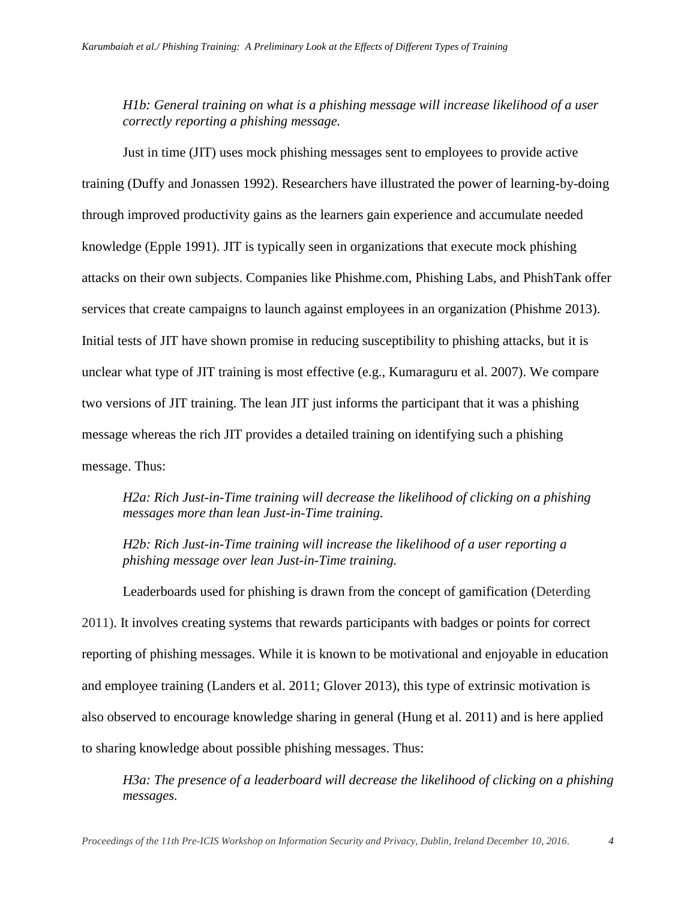*H1b: General training on what is a phishing message will increase likelihood of a user correctly reporting a phishing message.* 

Just in time (JIT) uses mock phishing messages sent to employees to provide active training (Duffy and Jonassen 1992). Researchers have illustrated the power of learning-by-doing through improved productivity gains as the learners gain experience and accumulate needed knowledge (Epple 1991). JIT is typically seen in organizations that execute mock phishing attacks on their own subjects. Companies like Phishme.com, Phishing Labs, and PhishTank offer services that create campaigns to launch against employees in an organization (Phishme 2013). Initial tests of JIT have shown promise in reducing susceptibility to phishing attacks, but it is unclear what type of JIT training is most effective (e.g., Kumaraguru et al. 2007). We compare two versions of JIT training. The lean JIT just informs the participant that it was a phishing message whereas the rich JIT provides a detailed training on identifying such a phishing message. Thus:

*H2a: Rich Just-in-Time training will decrease the likelihood of clicking on a phishing messages more than lean Just-in-Time training.*

*H2b: Rich Just-in-Time training will increase the likelihood of a user reporting a phishing message over lean Just-in-Time training.*

Leaderboards used for phishing is drawn from the concept of gamification (Deterding 2011). It involves creating systems that rewards participants with badges or points for correct reporting of phishing messages. While it is known to be motivational and enjoyable in education and employee training (Landers et al. 2011; Glover 2013), this type of extrinsic motivation is also observed to encourage knowledge sharing in general (Hung et al. 2011) and is here applied to sharing knowledge about possible phishing messages. Thus:

*H3a: The presence of a leaderboard will decrease the likelihood of clicking on a phishing messages.*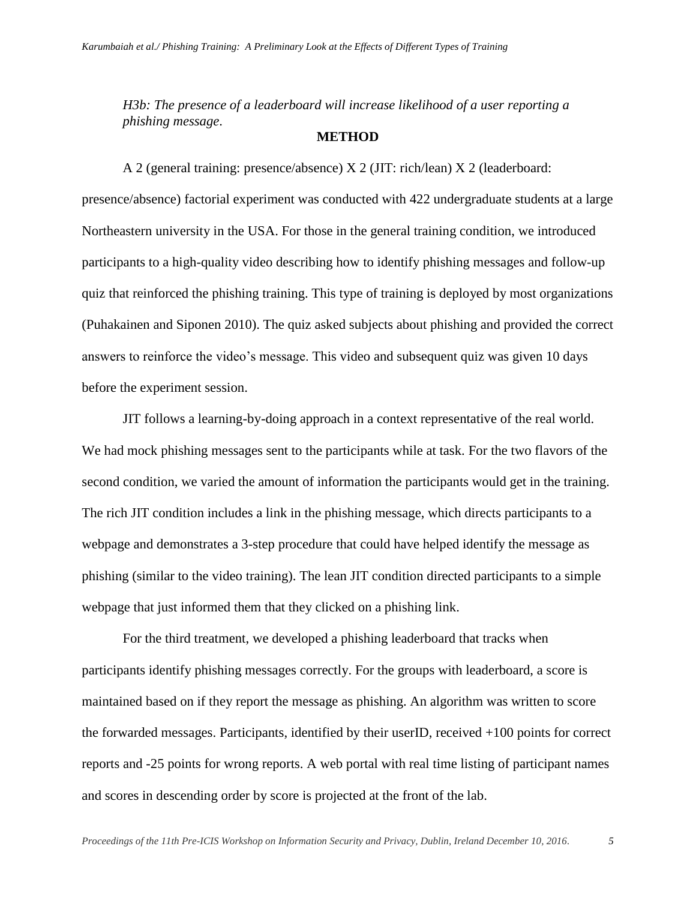*H3b: The presence of a leaderboard will increase likelihood of a user reporting a phishing message*.

#### **METHOD**

A 2 (general training: presence/absence) X 2 (JIT: rich/lean) X 2 (leaderboard: presence/absence) factorial experiment was conducted with 422 undergraduate students at a large Northeastern university in the USA. For those in the general training condition, we introduced participants to a high-quality video describing how to identify phishing messages and follow-up quiz that reinforced the phishing training. This type of training is deployed by most organizations (Puhakainen and Siponen 2010). The quiz asked subjects about phishing and provided the correct answers to reinforce the video's message. This video and subsequent quiz was given 10 days before the experiment session.

JIT follows a learning-by-doing approach in a context representative of the real world. We had mock phishing messages sent to the participants while at task. For the two flavors of the second condition, we varied the amount of information the participants would get in the training. The rich JIT condition includes a link in the phishing message, which directs participants to a webpage and demonstrates a 3-step procedure that could have helped identify the message as phishing (similar to the video training). The lean JIT condition directed participants to a simple webpage that just informed them that they clicked on a phishing link.

For the third treatment, we developed a phishing leaderboard that tracks when participants identify phishing messages correctly. For the groups with leaderboard, a score is maintained based on if they report the message as phishing. An algorithm was written to score the forwarded messages. Participants, identified by their userID, received +100 points for correct reports and -25 points for wrong reports. A web portal with real time listing of participant names and scores in descending order by score is projected at the front of the lab.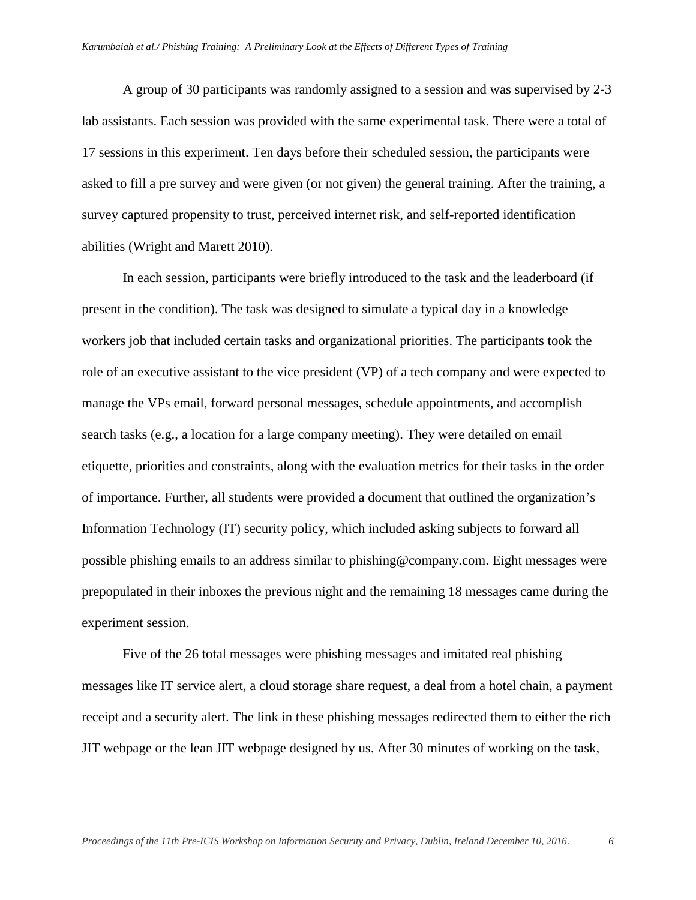A group of 30 participants was randomly assigned to a session and was supervised by 2-3 lab assistants. Each session was provided with the same experimental task. There were a total of 17 sessions in this experiment. Ten days before their scheduled session, the participants were asked to fill a pre survey and were given (or not given) the general training. After the training, a survey captured propensity to trust, perceived internet risk, and self-reported identification abilities (Wright and Marett 2010).

In each session, participants were briefly introduced to the task and the leaderboard (if present in the condition). The task was designed to simulate a typical day in a knowledge workers job that included certain tasks and organizational priorities. The participants took the role of an executive assistant to the vice president (VP) of a tech company and were expected to manage the VPs email, forward personal messages, schedule appointments, and accomplish search tasks (e.g., a location for a large company meeting). They were detailed on email etiquette, priorities and constraints, along with the evaluation metrics for their tasks in the order of importance. Further, all students were provided a document that outlined the organization's Information Technology (IT) security policy, which included asking subjects to forward all possible phishing emails to an address similar to phishing@company.com. Eight messages were prepopulated in their inboxes the previous night and the remaining 18 messages came during the experiment session.

Five of the 26 total messages were phishing messages and imitated real phishing messages like IT service alert, a cloud storage share request, a deal from a hotel chain, a payment receipt and a security alert. The link in these phishing messages redirected them to either the rich JIT webpage or the lean JIT webpage designed by us. After 30 minutes of working on the task,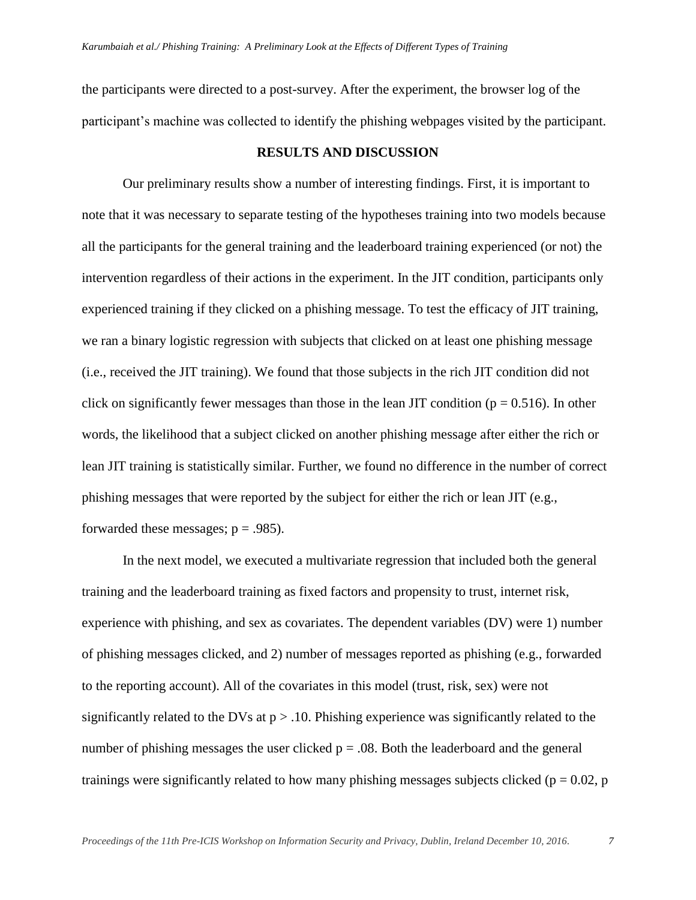the participants were directed to a post-survey. After the experiment, the browser log of the participant's machine was collected to identify the phishing webpages visited by the participant.

# **RESULTS AND DISCUSSION**

Our preliminary results show a number of interesting findings. First, it is important to note that it was necessary to separate testing of the hypotheses training into two models because all the participants for the general training and the leaderboard training experienced (or not) the intervention regardless of their actions in the experiment. In the JIT condition, participants only experienced training if they clicked on a phishing message. To test the efficacy of JIT training, we ran a binary logistic regression with subjects that clicked on at least one phishing message (i.e., received the JIT training). We found that those subjects in the rich JIT condition did not click on significantly fewer messages than those in the lean JIT condition ( $p = 0.516$ ). In other words, the likelihood that a subject clicked on another phishing message after either the rich or lean JIT training is statistically similar. Further, we found no difference in the number of correct phishing messages that were reported by the subject for either the rich or lean JIT (e.g., forwarded these messages;  $p = .985$ ).

In the next model, we executed a multivariate regression that included both the general training and the leaderboard training as fixed factors and propensity to trust, internet risk, experience with phishing, and sex as covariates. The dependent variables (DV) were 1) number of phishing messages clicked, and 2) number of messages reported as phishing (e.g., forwarded to the reporting account). All of the covariates in this model (trust, risk, sex) were not significantly related to the DVs at  $p > 0.10$ . Phishing experience was significantly related to the number of phishing messages the user clicked  $p = .08$ . Both the leaderboard and the general trainings were significantly related to how many phishing messages subjects clicked ( $p = 0.02$ , p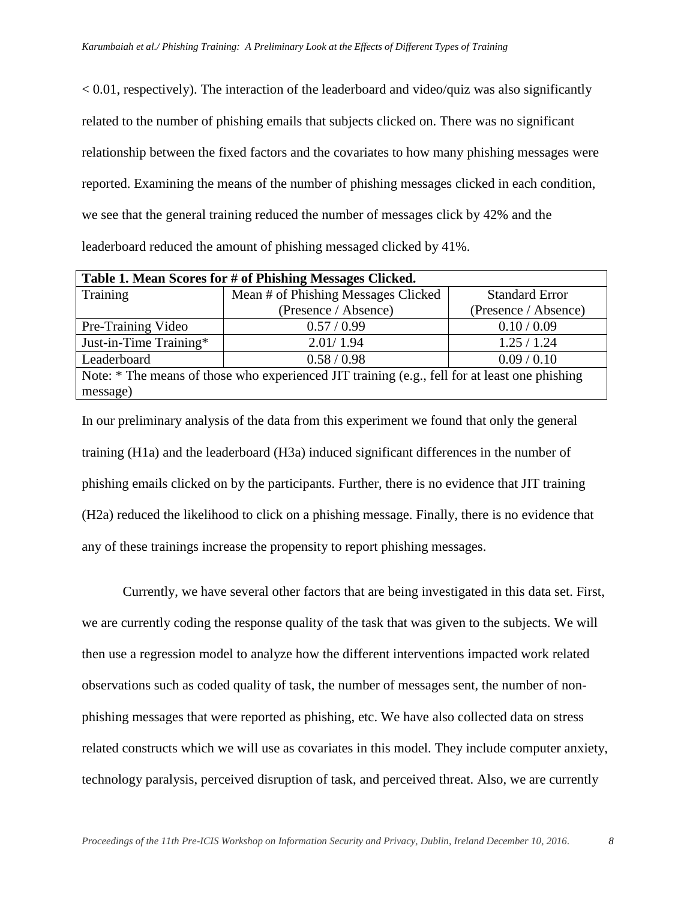$\leq 0.01$ , respectively). The interaction of the leaderboard and video/quiz was also significantly related to the number of phishing emails that subjects clicked on. There was no significant relationship between the fixed factors and the covariates to how many phishing messages were reported. Examining the means of the number of phishing messages clicked in each condition, we see that the general training reduced the number of messages click by 42% and the leaderboard reduced the amount of phishing messaged clicked by 41%.

| Table 1. Mean Scores for # of Phishing Messages Clicked.                                      |                                     |                       |
|-----------------------------------------------------------------------------------------------|-------------------------------------|-----------------------|
| Training                                                                                      | Mean # of Phishing Messages Clicked | <b>Standard Error</b> |
|                                                                                               | (Presence / Absence)                | (Presence / Absence)  |
| Pre-Training Video                                                                            | 0.57/0.99                           | 0.10 / 0.09           |
| Just-in-Time Training*                                                                        | 2.01/1.94                           | 1.25/1.24             |
| Leaderboard                                                                                   | 0.58 / 0.98                         | 0.09 / 0.10           |
| Note: * The means of those who experienced JIT training (e.g., fell for at least one phishing |                                     |                       |
| message)                                                                                      |                                     |                       |

In our preliminary analysis of the data from this experiment we found that only the general training (H1a) and the leaderboard (H3a) induced significant differences in the number of phishing emails clicked on by the participants. Further, there is no evidence that JIT training (H2a) reduced the likelihood to click on a phishing message. Finally, there is no evidence that any of these trainings increase the propensity to report phishing messages.

Currently, we have several other factors that are being investigated in this data set. First, we are currently coding the response quality of the task that was given to the subjects. We will then use a regression model to analyze how the different interventions impacted work related observations such as coded quality of task, the number of messages sent, the number of nonphishing messages that were reported as phishing, etc. We have also collected data on stress related constructs which we will use as covariates in this model. They include computer anxiety, technology paralysis, perceived disruption of task, and perceived threat. Also, we are currently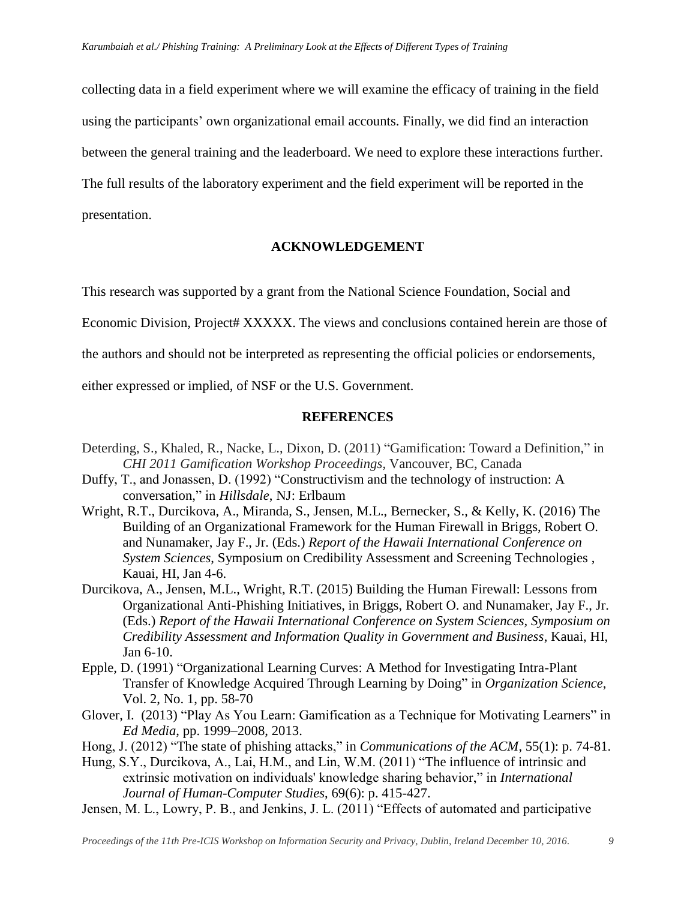collecting data in a field experiment where we will examine the efficacy of training in the field using the participants' own organizational email accounts. Finally, we did find an interaction between the general training and the leaderboard. We need to explore these interactions further. The full results of the laboratory experiment and the field experiment will be reported in the presentation.

### **ACKNOWLEDGEMENT**

This research was supported by a grant from the National Science Foundation, Social and

Economic Division, Project# XXXXX. The views and conclusions contained herein are those of

the authors and should not be interpreted as representing the official policies or endorsements,

either expressed or implied, of NSF or the U.S. Government.

#### **REFERENCES**

- Deterding, S., Khaled, R., Nacke, L., Dixon, D. (2011) "Gamification: Toward a Definition," in *CHI 2011 Gamification Workshop Proceedings*, Vancouver, BC, Canada
- Duffy, T., and Jonassen, D. (1992) "Constructivism and the technology of instruction: A conversation," in *Hillsdale*, NJ: Erlbaum
- Wright, R.T., Durcikova, A., Miranda, S., Jensen, M.L., Bernecker, S., & Kelly, K. (2016) The Building of an Organizational Framework for the Human Firewall in Briggs, Robert O. and Nunamaker, Jay F., Jr. (Eds.) *Report of the Hawaii International Conference on System Sciences*, Symposium on Credibility Assessment and Screening Technologies , Kauai, HI, Jan 4-6.
- Durcikova, A., Jensen, M.L., Wright, R.T. (2015) Building the Human Firewall: Lessons from Organizational Anti-Phishing Initiatives, in Briggs, Robert O. and Nunamaker, Jay F., Jr. (Eds.) *Report of the Hawaii International Conference on System Sciences, Symposium on Credibility Assessment and Information Quality in Government and Business*, Kauai, HI, Jan 6-10.
- Epple, D. (1991) "Organizational Learning Curves: A Method for Investigating Intra-Plant Transfer of Knowledge Acquired Through Learning by Doing" in *Organization Science*, Vol. 2, No. 1, pp. 58-70
- Glover, I. (2013) "Play As You Learn: Gamification as a Technique for Motivating Learners" in *Ed Media*, pp. 1999–2008, 2013.

Hong, J. (2012) "The state of phishing attacks," in *Communications of the ACM*, 55(1): p. 74-81.

- Hung, S.Y., Durcikova, A., Lai, H.M., and Lin, W.M. (2011) "The influence of intrinsic and extrinsic motivation on individuals' knowledge sharing behavior," in *International Journal of Human-Computer Studies*, 69(6): p. 415-427.
- Jensen, M. L., Lowry, P. B., and Jenkins, J. L. (2011) "Effects of automated and participative